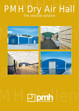# PMH *Dry Air Hall* The rational solution